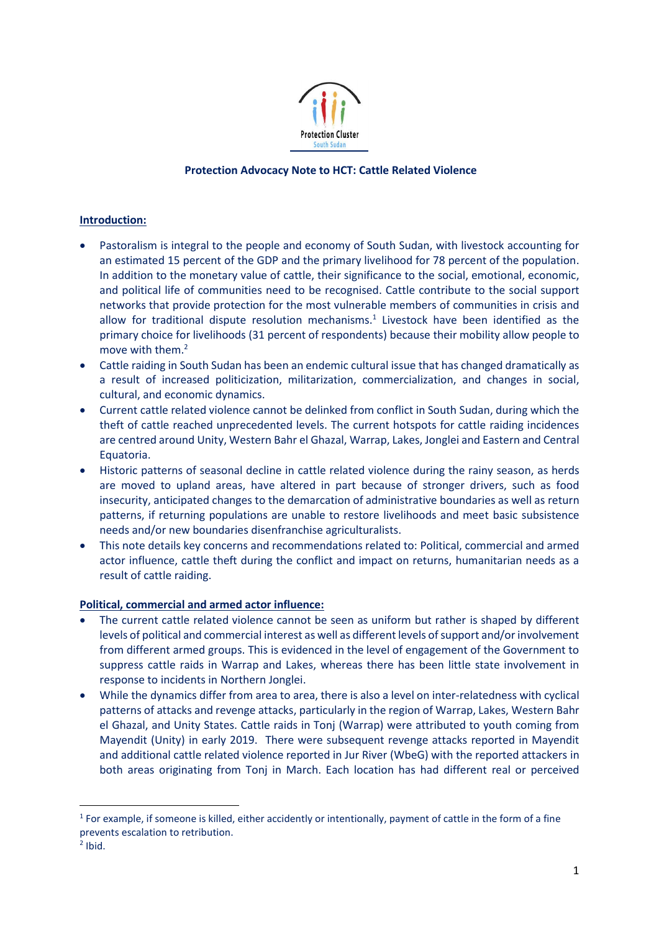

## **Protection Advocacy Note to HCT: Cattle Related Violence**

# **Introduction:**

- Pastoralism is integral to the people and economy of South Sudan, with livestock accounting for an estimated 15 percent of the GDP and the primary livelihood for 78 percent of the population. In addition to the monetary value of cattle, their significance to the social, emotional, economic, and political life of communities need to be recognised. Cattle contribute to the social support networks that provide protection for the most vulnerable members of communities in crisis and allow for traditional dispute resolution mechanisms. 1 Livestock have been identified as the primary choice for livelihoods (31 percent of respondents) because their mobility allow people to move with them. 2
- Cattle raiding in South Sudan has been an endemic cultural issue that has changed dramatically as a result of increased politicization, militarization, commercialization, and changes in social, cultural, and economic dynamics.
- Current cattle related violence cannot be delinked from conflict in South Sudan, during which the theft of cattle reached unprecedented levels. The current hotspots for cattle raiding incidences are centred around Unity, Western Bahr el Ghazal, Warrap, Lakes, Jonglei and Eastern and Central Equatoria.
- Historic patterns of seasonal decline in cattle related violence during the rainy season, as herds are moved to upland areas, have altered in part because of stronger drivers, such as food insecurity, anticipated changes to the demarcation of administrative boundaries as well as return patterns, if returning populations are unable to restore livelihoods and meet basic subsistence needs and/or new boundaries disenfranchise agriculturalists.
- This note details key concerns and recommendations related to: Political, commercial and armed actor influence, cattle theft during the conflict and impact on returns, humanitarian needs as a result of cattle raiding.

### **Political, commercial and armed actor influence:**

- The current cattle related violence cannot be seen as uniform but rather is shaped by different levels of political and commercial interest as well as different levels of support and/or involvement from different armed groups. This is evidenced in the level of engagement of the Government to suppress cattle raids in Warrap and Lakes, whereas there has been little state involvement in response to incidents in Northern Jonglei.
- While the dynamics differ from area to area, there is also a level on inter-relatedness with cyclical patterns of attacks and revenge attacks, particularly in the region of Warrap, Lakes, Western Bahr el Ghazal, and Unity States. Cattle raids in Tonj (Warrap) were attributed to youth coming from Mayendit (Unity) in early 2019. There were subsequent revenge attacks reported in Mayendit and additional cattle related violence reported in Jur River (WbeG) with the reported attackers in both areas originating from Tonj in March. Each location has had different real or perceived

**.** 

 $1$  For example, if someone is killed, either accidently or intentionally, payment of cattle in the form of a fine prevents escalation to retribution.

 $2$  Ibid.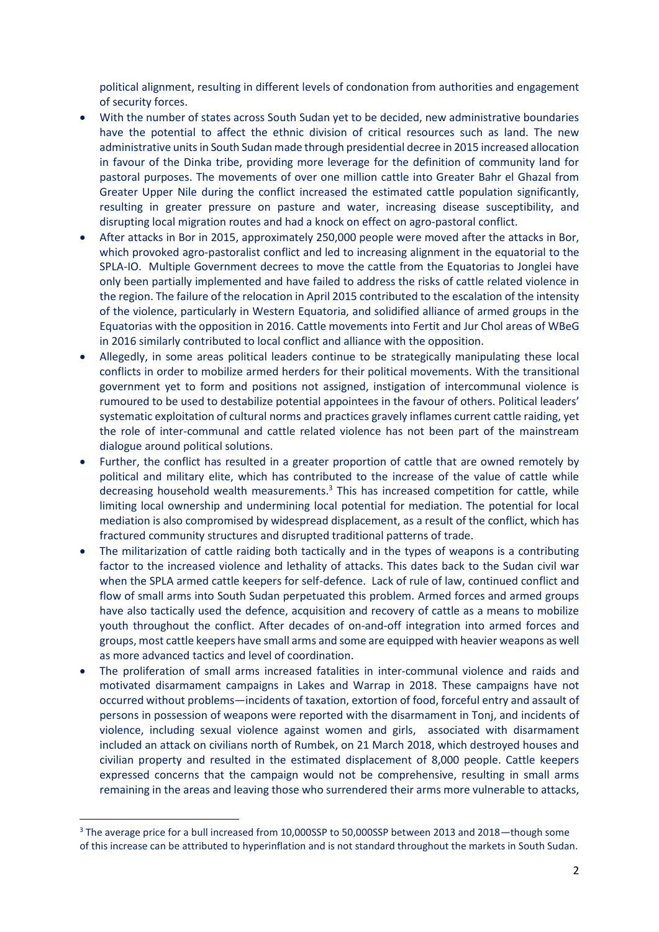political alignment, resulting in different levels of condonation from authorities and engagement of security forces.

- With the number of states across South Sudan yet to be decided, new administrative boundaries have the potential to affect the ethnic division of critical resources such as land. The new administrative units in South Sudan made through presidential decree in 2015 increased allocation in favour of the Dinka tribe, providing more leverage for the definition of community land for pastoral purposes. The movements of over one million cattle into Greater Bahr el Ghazal from Greater Upper Nile during the conflict increased the estimated cattle population significantly, resulting in greater pressure on pasture and water, increasing disease susceptibility, and disrupting local migration routes and had a knock on effect on agro-pastoral conflict.
- After attacks in Bor in 2015, approximately 250,000 people were moved after the attacks in Bor, which provoked agro-pastoralist conflict and led to increasing alignment in the equatorial to the SPLA-IO. Multiple Government decrees to move the cattle from the Equatorias to Jonglei have only been partially implemented and have failed to address the risks of cattle related violence in the region. The failure of the relocation in April 2015 contributed to the escalation of the intensity of the violence, particularly in Western Equatoria, and solidified alliance of armed groups in the Equatorias with the opposition in 2016. Cattle movements into Fertit and Jur Chol areas of WBeG in 2016 similarly contributed to local conflict and alliance with the opposition.
- Allegedly, in some areas political leaders continue to be strategically manipulating these local conflicts in order to mobilize armed herders for their political movements. With the transitional government yet to form and positions not assigned, instigation of intercommunal violence is rumoured to be used to destabilize potential appointees in the favour of others. Political leaders' systematic exploitation of cultural norms and practices gravely inflames current cattle raiding, yet the role of inter-communal and cattle related violence has not been part of the mainstream dialogue around political solutions.
- Further, the conflict has resulted in a greater proportion of cattle that are owned remotely by political and military elite, which has contributed to the increase of the value of cattle while decreasing household wealth measurements.<sup>3</sup> This has increased competition for cattle, while limiting local ownership and undermining local potential for mediation. The potential for local mediation is also compromised by widespread displacement, as a result of the conflict, which has fractured community structures and disrupted traditional patterns of trade.
- The militarization of cattle raiding both tactically and in the types of weapons is a contributing factor to the increased violence and lethality of attacks. This dates back to the Sudan civil war when the SPLA armed cattle keepers for self-defence. Lack of rule of law, continued conflict and flow of small arms into South Sudan perpetuated this problem. Armed forces and armed groups have also tactically used the defence, acquisition and recovery of cattle as a means to mobilize youth throughout the conflict. After decades of on-and-off integration into armed forces and groups, most cattle keepers have small arms and some are equipped with heavier weapons as well as more advanced tactics and level of coordination.
- The proliferation of small arms increased fatalities in inter-communal violence and raids and motivated disarmament campaigns in Lakes and Warrap in 2018. These campaigns have not occurred without problems—incidents of taxation, extortion of food, forceful entry and assault of persons in possession of weapons were reported with the disarmament in Tonj, and incidents of violence, including sexual violence against women and girls, associated with disarmament included an attack on civilians north of Rumbek, on 21 March 2018, which destroyed houses and civilian property and resulted in the estimated displacement of 8,000 people. Cattle keepers expressed concerns that the campaign would not be comprehensive, resulting in small arms remaining in the areas and leaving those who surrendered their arms more vulnerable to attacks,

1

<sup>3</sup> The average price for a bull increased from 10,000SSP to 50,000SSP between 2013 and 2018—though some of this increase can be attributed to hyperinflation and is not standard throughout the markets in South Sudan.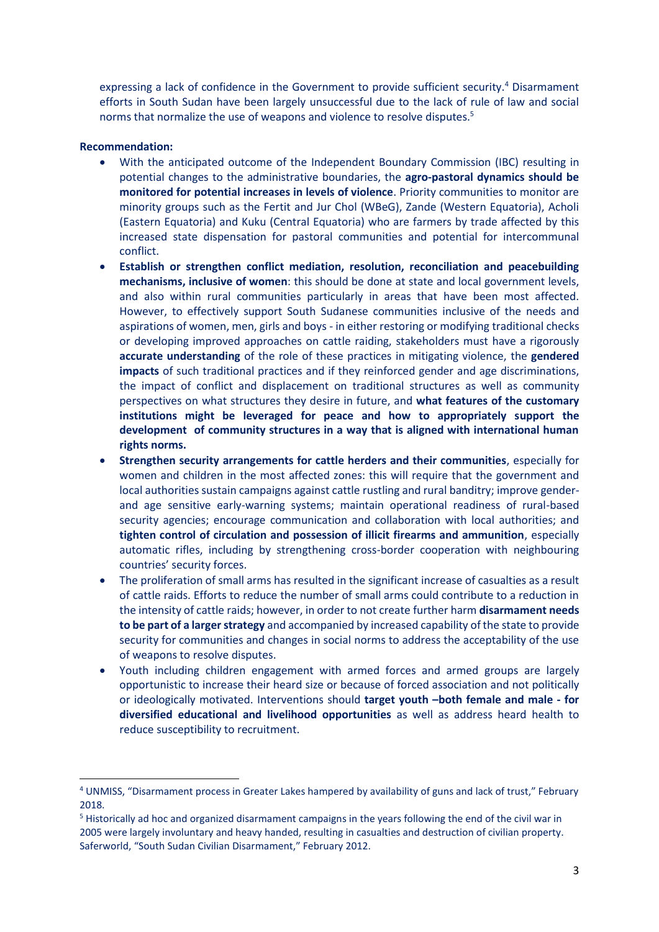expressing a lack of confidence in the Government to provide sufficient security.<sup>4</sup> Disarmament efforts in South Sudan have been largely unsuccessful due to the lack of rule of law and social norms that normalize the use of weapons and violence to resolve disputes.<sup>5</sup>

### **Recommendation:**

 $\overline{a}$ 

- With the anticipated outcome of the Independent Boundary Commission (IBC) resulting in potential changes to the administrative boundaries, the **agro-pastoral dynamics should be monitored for potential increases in levels of violence**. Priority communities to monitor are minority groups such as the Fertit and Jur Chol (WBeG), Zande (Western Equatoria), Acholi (Eastern Equatoria) and Kuku (Central Equatoria) who are farmers by trade affected by this increased state dispensation for pastoral communities and potential for intercommunal conflict.
- **Establish or strengthen conflict mediation, resolution, reconciliation and peacebuilding mechanisms, inclusive of women**: this should be done at state and local government levels, and also within rural communities particularly in areas that have been most affected. However, to effectively support South Sudanese communities inclusive of the needs and aspirations of women, men, girls and boys - in either restoring or modifying traditional checks or developing improved approaches on cattle raiding, stakeholders must have a rigorously **accurate understanding** of the role of these practices in mitigating violence, the **gendered impacts** of such traditional practices and if they reinforced gender and age discriminations, the impact of conflict and displacement on traditional structures as well as community perspectives on what structures they desire in future, and **what features of the customary institutions might be leveraged for peace and how to appropriately support the development of community structures in a way that is aligned with international human rights norms.**
- **Strengthen security arrangements for cattle herders and their communities**, especially for women and children in the most affected zones: this will require that the government and local authorities sustain campaigns against cattle rustling and rural banditry; improve genderand age sensitive early-warning systems; maintain operational readiness of rural-based security agencies; encourage communication and collaboration with local authorities; and **tighten control of circulation and possession of illicit firearms and ammunition**, especially automatic rifles, including by strengthening cross-border cooperation with neighbouring countries' security forces.
- The proliferation of small arms has resulted in the significant increase of casualties as a result of cattle raids. Efforts to reduce the number of small arms could contribute to a reduction in the intensity of cattle raids; however, in order to not create further harm **disarmament needs to be part of a larger strategy** and accompanied by increased capability of the state to provide security for communities and changes in social norms to address the acceptability of the use of weapons to resolve disputes.
- Youth including children engagement with armed forces and armed groups are largely opportunistic to increase their heard size or because of forced association and not politically or ideologically motivated. Interventions should **target youth –both female and male - for diversified educational and livelihood opportunities** as well as address heard health to reduce susceptibility to recruitment.

<sup>4</sup> UNMISS, "Disarmament process in Greater Lakes hampered by availability of guns and lack of trust," February 2018.

<sup>5</sup> Historically ad hoc and organized disarmament campaigns in the years following the end of the civil war in 2005 were largely involuntary and heavy handed, resulting in casualties and destruction of civilian property. Saferworld, "South Sudan Civilian Disarmament," February 2012.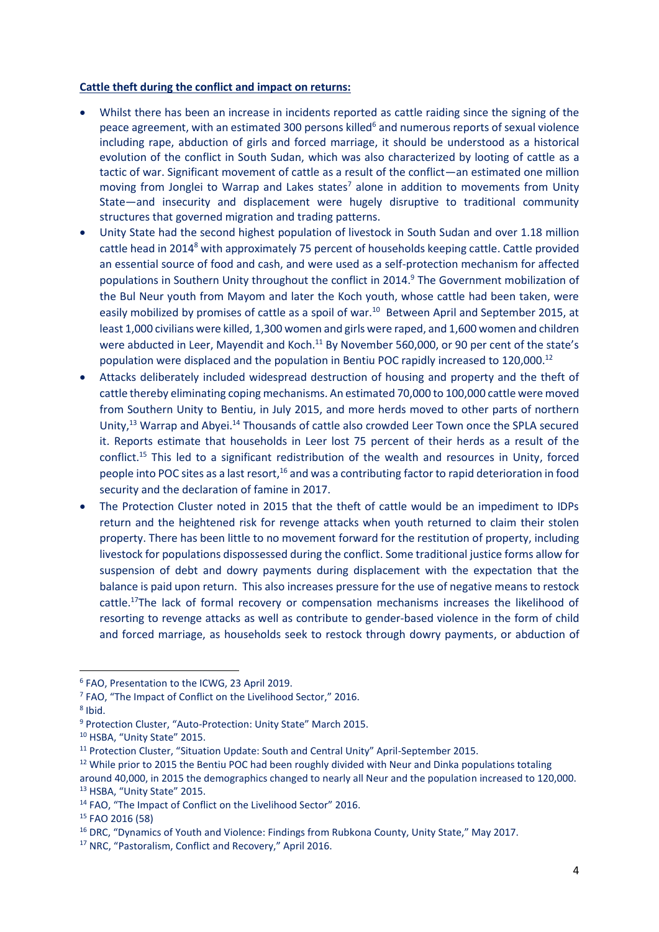#### **Cattle theft during the conflict and impact on returns:**

- Whilst there has been an increase in incidents reported as cattle raiding since the signing of the peace agreement, with an estimated 300 persons killed<sup>6</sup> and numerous reports of sexual violence including rape, abduction of girls and forced marriage, it should be understood as a historical evolution of the conflict in South Sudan, which was also characterized by looting of cattle as a tactic of war. Significant movement of cattle as a result of the conflict—an estimated one million moving from Jonglei to Warrap and Lakes states<sup>7</sup> alone in addition to movements from Unity State—and insecurity and displacement were hugely disruptive to traditional community structures that governed migration and trading patterns.
- Unity State had the second highest population of livestock in South Sudan and over 1.18 million cattle head in 2014<sup>8</sup> with approximately 75 percent of households keeping cattle. Cattle provided an essential source of food and cash, and were used as a self-protection mechanism for affected populations in Southern Unity throughout the conflict in 2014.<sup>9</sup> The Government mobilization of the Bul Neur youth from Mayom and later the Koch youth, whose cattle had been taken, were easily mobilized by promises of cattle as a spoil of war.<sup>10</sup> Between April and September 2015, at least 1,000 civilians were killed, 1,300 women and girls were raped, and 1,600 women and children were abducted in Leer, Mayendit and Koch.<sup>11</sup> By November 560,000, or 90 per cent of the state's population were displaced and the population in Bentiu POC rapidly increased to 120,000.<sup>12</sup>
- Attacks deliberately included widespread destruction of housing and property and the theft of cattle thereby eliminating coping mechanisms. An estimated 70,000 to 100,000 cattle were moved from Southern Unity to Bentiu, in July 2015, and more herds moved to other parts of northern Unity,<sup>13</sup> Warrap and Abyei.<sup>14</sup> Thousands of cattle also crowded Leer Town once the SPLA secured it. Reports estimate that households in Leer lost 75 percent of their herds as a result of the conflict.<sup>15</sup> This led to a significant redistribution of the wealth and resources in Unity, forced people into POC sites as a last resort,<sup>16</sup> and was a contributing factor to rapid deterioration in food security and the declaration of famine in 2017.
- The Protection Cluster noted in 2015 that the theft of cattle would be an impediment to IDPs return and the heightened risk for revenge attacks when youth returned to claim their stolen property. There has been little to no movement forward for the restitution of property, including livestock for populations dispossessed during the conflict. Some traditional justice forms allow for suspension of debt and dowry payments during displacement with the expectation that the balance is paid upon return. This also increases pressure for the use of negative means to restock cattle.<sup>17</sup>The lack of formal recovery or compensation mechanisms increases the likelihood of resorting to revenge attacks as well as contribute to gender-based violence in the form of child and forced marriage, as households seek to restock through dowry payments, or abduction of

1

<sup>6</sup> FAO, Presentation to the ICWG, 23 April 2019.

<sup>&</sup>lt;sup>7</sup> FAO, "The Impact of Conflict on the Livelihood Sector," 2016.

<sup>8</sup> Ibid.

<sup>9</sup> Protection Cluster, "Auto-Protection: Unity State" March 2015.

<sup>10</sup> HSBA, "Unity State" 2015.

<sup>&</sup>lt;sup>11</sup> Protection Cluster, "Situation Update: South and Central Unity" April-September 2015.

 $12$  While prior to 2015 the Bentiu POC had been roughly divided with Neur and Dinka populations totaling around 40,000, in 2015 the demographics changed to nearly all Neur and the population increased to 120,000. <sup>13</sup> HSBA, "Unity State" 2015.

<sup>14</sup> FAO, "The Impact of Conflict on the Livelihood Sector" 2016.

<sup>15</sup> FAO 2016 (58)

<sup>&</sup>lt;sup>16</sup> DRC, "Dynamics of Youth and Violence: Findings from Rubkona County, Unity State," May 2017.

<sup>17</sup> NRC, "Pastoralism, Conflict and Recovery," April 2016.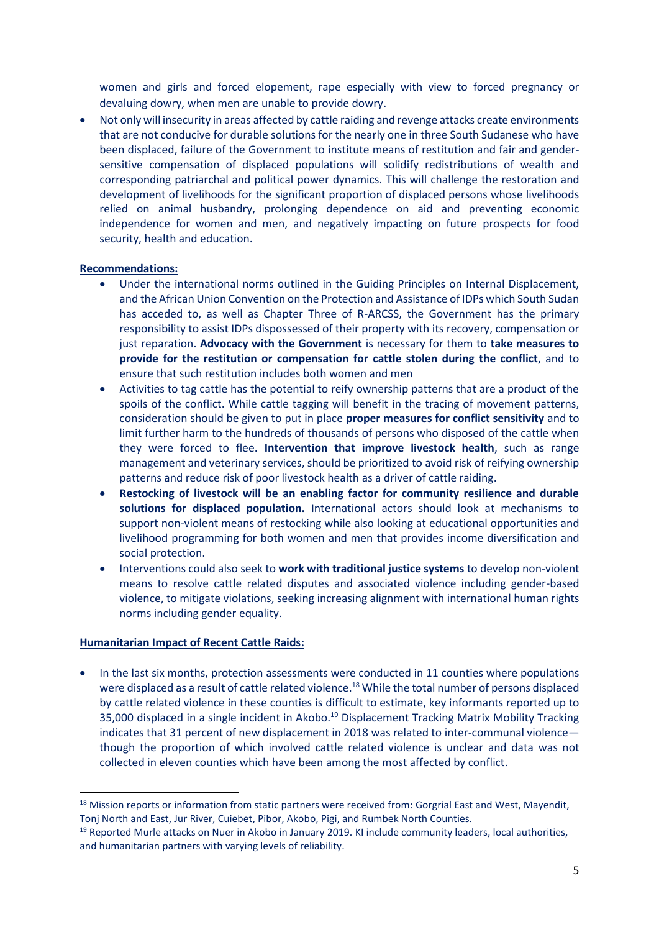women and girls and forced elopement, rape especially with view to forced pregnancy or devaluing dowry, when men are unable to provide dowry.

 Not only will insecurity in areas affected by cattle raiding and revenge attacks create environments that are not conducive for durable solutions for the nearly one in three South Sudanese who have been displaced, failure of the Government to institute means of restitution and fair and gendersensitive compensation of displaced populations will solidify redistributions of wealth and corresponding patriarchal and political power dynamics. This will challenge the restoration and development of livelihoods for the significant proportion of displaced persons whose livelihoods relied on animal husbandry, prolonging dependence on aid and preventing economic independence for women and men, and negatively impacting on future prospects for food security, health and education.

### **Recommendations:**

- Under the international norms outlined in the Guiding Principles on Internal Displacement, and the African Union Convention on the Protection and Assistance of IDPs which South Sudan has acceded to, as well as Chapter Three of R-ARCSS, the Government has the primary responsibility to assist IDPs dispossessed of their property with its recovery, compensation or just reparation. **Advocacy with the Government** is necessary for them to **take measures to provide for the restitution or compensation for cattle stolen during the conflict**, and to ensure that such restitution includes both women and men
- Activities to tag cattle has the potential to reify ownership patterns that are a product of the spoils of the conflict. While cattle tagging will benefit in the tracing of movement patterns, consideration should be given to put in place **proper measures for conflict sensitivity** and to limit further harm to the hundreds of thousands of persons who disposed of the cattle when they were forced to flee. **Intervention that improve livestock health**, such as range management and veterinary services, should be prioritized to avoid risk of reifying ownership patterns and reduce risk of poor livestock health as a driver of cattle raiding.
- **Restocking of livestock will be an enabling factor for community resilience and durable solutions for displaced population.** International actors should look at mechanisms to support non-violent means of restocking while also looking at educational opportunities and livelihood programming for both women and men that provides income diversification and social protection.
- Interventions could also seek to **work with traditional justice systems** to develop non-violent means to resolve cattle related disputes and associated violence including gender-based violence, to mitigate violations, seeking increasing alignment with international human rights norms including gender equality.

### **Humanitarian Impact of Recent Cattle Raids:**

**.** 

 In the last six months, protection assessments were conducted in 11 counties where populations were displaced as a result of cattle related violence.<sup>18</sup> While the total number of persons displaced by cattle related violence in these counties is difficult to estimate, key informants reported up to 35,000 displaced in a single incident in Akobo.<sup>19</sup> Displacement Tracking Matrix Mobility Tracking indicates that 31 percent of new displacement in 2018 was related to inter-communal violence though the proportion of which involved cattle related violence is unclear and data was not collected in eleven counties which have been among the most affected by conflict.

<sup>&</sup>lt;sup>18</sup> Mission reports or information from static partners were received from: Gorgrial East and West, Mayendit, Tonj North and East, Jur River, Cuiebet, Pibor, Akobo, Pigi, and Rumbek North Counties.

<sup>&</sup>lt;sup>19</sup> Reported Murle attacks on Nuer in Akobo in January 2019. KI include community leaders, local authorities, and humanitarian partners with varying levels of reliability.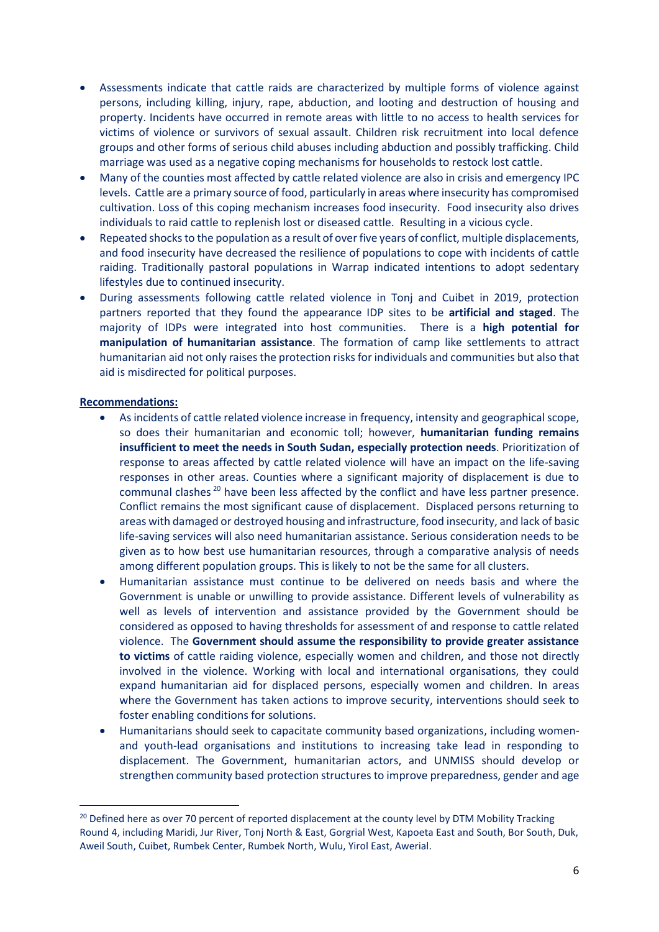- Assessments indicate that cattle raids are characterized by multiple forms of violence against persons, including killing, injury, rape, abduction, and looting and destruction of housing and property. Incidents have occurred in remote areas with little to no access to health services for victims of violence or survivors of sexual assault. Children risk recruitment into local defence groups and other forms of serious child abuses including abduction and possibly trafficking. Child marriage was used as a negative coping mechanisms for households to restock lost cattle.
- Many of the counties most affected by cattle related violence are also in crisis and emergency IPC levels. Cattle are a primary source of food, particularly in areas where insecurity has compromised cultivation. Loss of this coping mechanism increases food insecurity. Food insecurity also drives individuals to raid cattle to replenish lost or diseased cattle. Resulting in a vicious cycle.
- Repeated shocks to the population as a result of over five years of conflict, multiple displacements, and food insecurity have decreased the resilience of populations to cope with incidents of cattle raiding. Traditionally pastoral populations in Warrap indicated intentions to adopt sedentary lifestyles due to continued insecurity.
- During assessments following cattle related violence in Tonj and Cuibet in 2019, protection partners reported that they found the appearance IDP sites to be **artificial and staged**. The majority of IDPs were integrated into host communities. There is a **high potential for manipulation of humanitarian assistance**. The formation of camp like settlements to attract humanitarian aid not only raises the protection risks for individuals and communities but also that aid is misdirected for political purposes.

#### **Recommendations:**

**.** 

- As incidents of cattle related violence increase in frequency, intensity and geographical scope, so does their humanitarian and economic toll; however, **humanitarian funding remains insufficient to meet the needs in South Sudan, especially protection needs**. Prioritization of response to areas affected by cattle related violence will have an impact on the life-saving responses in other areas. Counties where a significant majority of displacement is due to communal clashes <sup>20</sup> have been less affected by the conflict and have less partner presence. Conflict remains the most significant cause of displacement. Displaced persons returning to areas with damaged or destroyed housing and infrastructure, food insecurity, and lack of basic life-saving services will also need humanitarian assistance. Serious consideration needs to be given as to how best use humanitarian resources, through a comparative analysis of needs among different population groups. This is likely to not be the same for all clusters.
- Humanitarian assistance must continue to be delivered on needs basis and where the Government is unable or unwilling to provide assistance. Different levels of vulnerability as well as levels of intervention and assistance provided by the Government should be considered as opposed to having thresholds for assessment of and response to cattle related violence. The **Government should assume the responsibility to provide greater assistance to victims** of cattle raiding violence, especially women and children, and those not directly involved in the violence. Working with local and international organisations, they could expand humanitarian aid for displaced persons, especially women and children. In areas where the Government has taken actions to improve security, interventions should seek to foster enabling conditions for solutions.
- Humanitarians should seek to capacitate community based organizations, including womenand youth-lead organisations and institutions to increasing take lead in responding to displacement. The Government, humanitarian actors, and UNMISS should develop or strengthen community based protection structures to improve preparedness, gender and age

<sup>&</sup>lt;sup>20</sup> Defined here as over 70 percent of reported displacement at the county level by DTM Mobility Tracking Round 4, including Maridi, Jur River, Tonj North & East, Gorgrial West, Kapoeta East and South, Bor South, Duk, Aweil South, Cuibet, Rumbek Center, Rumbek North, Wulu, Yirol East, Awerial.